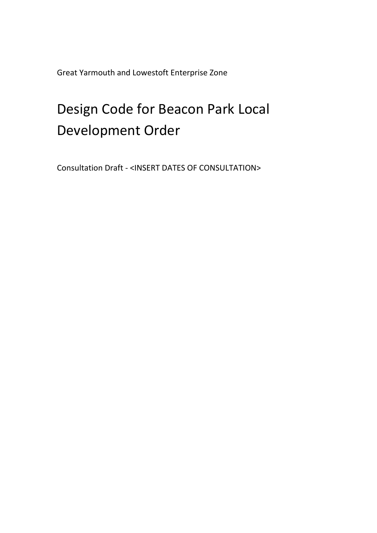Great Yarmouth and Lowestoft Enterprise Zone

# Design Code for Beacon Park Local Development Order

Consultation Draft - <INSERT DATES OF CONSULTATION>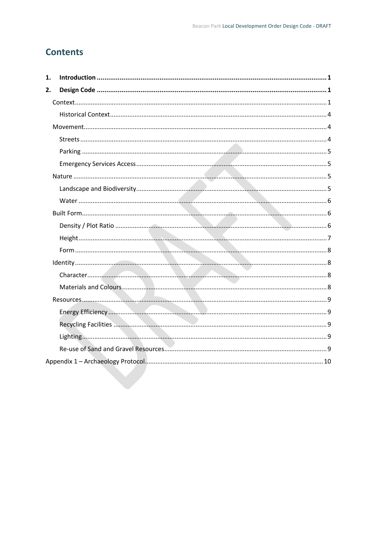## **Contents**

| 1. |  |
|----|--|
| 2. |  |
|    |  |
|    |  |
|    |  |
|    |  |
|    |  |
|    |  |
|    |  |
|    |  |
|    |  |
|    |  |
|    |  |
|    |  |
|    |  |
|    |  |
|    |  |
|    |  |
|    |  |
|    |  |
|    |  |
|    |  |
|    |  |
|    |  |
|    |  |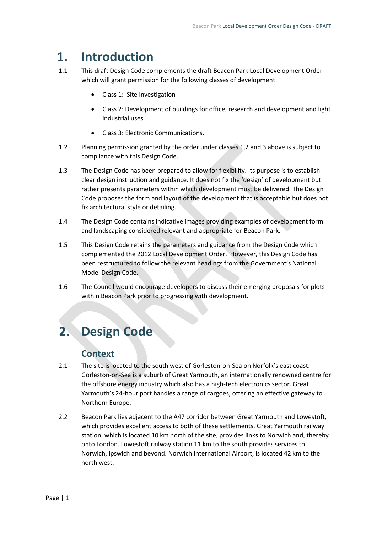## <span id="page-2-0"></span>**1. Introduction**

- 1.1 This draft Design Code complements the draft Beacon Park Local Development Order which will grant permission for the following classes of development:
	- Class 1: Site Investigation
	- Class 2: Development of buildings for office, research and development and light industrial uses.
	- Class 3: Electronic Communications.
- 1.2 Planning permission granted by the order under classes 1,2 and 3 above is subject to compliance with this Design Code.
- 1.3 The Design Code has been prepared to allow for flexibility. Its purpose is to establish clear design instruction and guidance. It does not fix the 'design' of development but rather presents parameters within which development must be delivered. The Design Code proposes the form and layout of the development that is acceptable but does not fix architectural style or detailing.
- 1.4 The Design Code contains indicative images providing examples of development form and landscaping considered relevant and appropriate for Beacon Park.
- 1.5 This Design Code retains the parameters and guidance from the Design Code which complemented the 2012 Local Development Order. However, this Design Code has been restructured to follow the relevant headings from the Government's National Model Design Code.
- 1.6 The Council would encourage developers to discuss their emerging proposals for plots within Beacon Park prior to progressing with development.

## <span id="page-2-2"></span><span id="page-2-1"></span>**2. Design Code**

## **Context**

- 2.1 The site is located to the south west of Gorleston-on-Sea on Norfolk's east coast. Gorleston-on-Sea is a suburb of Great Yarmouth, an internationally renowned centre for the offshore energy industry which also has a high-tech electronics sector. Great Yarmouth's 24-hour port handles a range of cargoes, offering an effective gateway to Northern Europe.
- 2.2 Beacon Park lies adjacent to the A47 corridor between Great Yarmouth and Lowestoft, which provides excellent access to both of these settlements. Great Yarmouth railway station, which is located 10 km north of the site, provides links to Norwich and, thereby onto London. Lowestoft railway station 11 km to the south provides services to Norwich, Ipswich and beyond. Norwich International Airport, is located 42 km to the north west.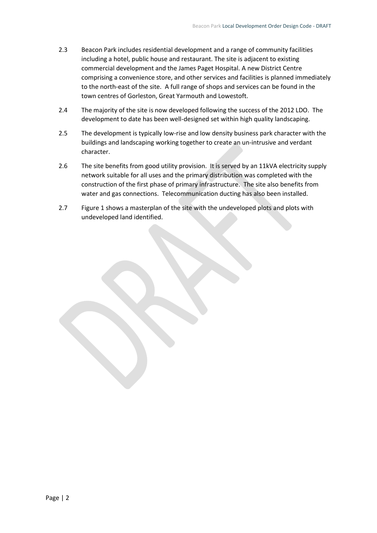- 2.3 Beacon Park includes residential development and a range of community facilities including a hotel, public house and restaurant. The site is adjacent to existing commercial development and the James Paget Hospital. A new District Centre comprising a convenience store, and other services and facilities is planned immediately to the north-east of the site. A full range of shops and services can be found in the town centres of Gorleston, Great Yarmouth and Lowestoft.
- 2.4 The majority of the site is now developed following the success of the 2012 LDO. The development to date has been well-designed set within high quality landscaping.
- 2.5 The development is typically low-rise and low density business park character with the buildings and landscaping working together to create an un-intrusive and verdant character.
- 2.6 The site benefits from good utility provision. It is served by an 11kVA electricity supply network suitable for all uses and the primary distribution was completed with the construction of the first phase of primary infrastructure. The site also benefits from water and gas connections. Telecommunication ducting has also been installed.
- 2.7 Figure 1 shows a masterplan of the site with the undeveloped plots and plots with undeveloped land identified.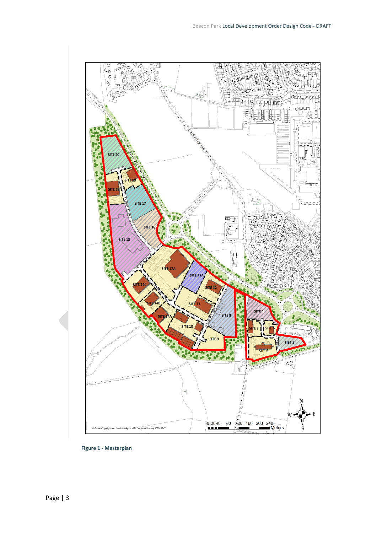

**Figure 1 - Masterplan**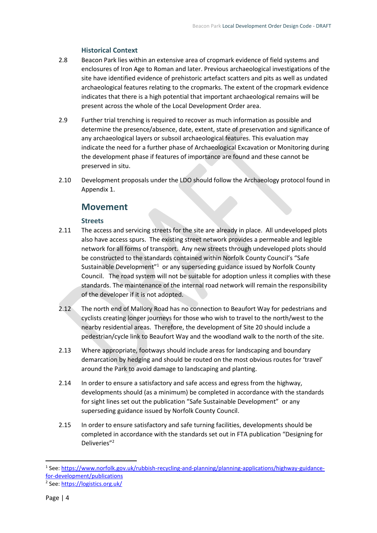#### **Historical Context**

- <span id="page-5-0"></span>2.8 Beacon Park lies within an extensive area of cropmark evidence of field systems and enclosures of Iron Age to Roman and later. Previous archaeological investigations of the site have identified evidence of prehistoric artefact scatters and pits as well as undated archaeological features relating to the cropmarks. The extent of the cropmark evidence indicates that there is a high potential that important archaeological remains will be present across the whole of the Local Development Order area.
- 2.9 Further trial trenching is required to recover as much information as possible and determine the presence/absence, date, extent, state of preservation and significance of any archaeological layers or subsoil archaeological features. This evaluation may indicate the need for a further phase of Archaeological Excavation or Monitoring during the development phase if features of importance are found and these cannot be preserved in situ.
- <span id="page-5-1"></span>2.10 Development proposals under the LDO should follow the Archaeology protocol found in Appendix 1.

## **Movement**

#### **Streets**

- <span id="page-5-2"></span>2.11 The access and servicing streets for the site are already in place. All undeveloped plots also have access spurs. The existing street network provides a permeable and legible network for all forms of transport. Any new streets through undeveloped plots should be constructed to the standards contained within Norfolk County Council's "Safe Sustainable Development<sup>"1</sup> or any superseding guidance issued by Norfolk County Council. The road system will not be suitable for adoption unless it complies with these standards. The maintenance of the internal road network will remain the responsibility of the developer if it is not adopted.
- 2.12 The north end of Mallory Road has no connection to Beaufort Way for pedestrians and cyclists creating longer journeys for those who wish to travel to the north/west to the nearby residential areas. Therefore, the development of Site 20 should include a pedestrian/cycle link to Beaufort Way and the woodland walk to the north of the site.
- 2.13 Where appropriate, footways should include areas for landscaping and boundary demarcation by hedging and should be routed on the most obvious routes for 'travel' around the Park to avoid damage to landscaping and planting.
- 2.14 In order to ensure a satisfactory and safe access and egress from the highway, developments should (as a minimum) be completed in accordance with the standards for sight lines set out the publication "Safe Sustainable Development" or any superseding guidance issued by Norfolk County Council.
- 2.15 In order to ensure satisfactory and safe turning facilities, developments should be completed in accordance with the standards set out in FTA publication "Designing for Deliveries"<sup>2</sup>

<sup>&</sup>lt;sup>1</sup> See: [https://www.norfolk.gov.uk/rubbish-recycling-and-planning/planning-applications/highway-guidance](https://www.norfolk.gov.uk/rubbish-recycling-and-planning/planning-applications/highway-guidance-for-development/publications)[for-development/publications](https://www.norfolk.gov.uk/rubbish-recycling-and-planning/planning-applications/highway-guidance-for-development/publications)

<sup>&</sup>lt;sup>2</sup> See:<https://logistics.org.uk/>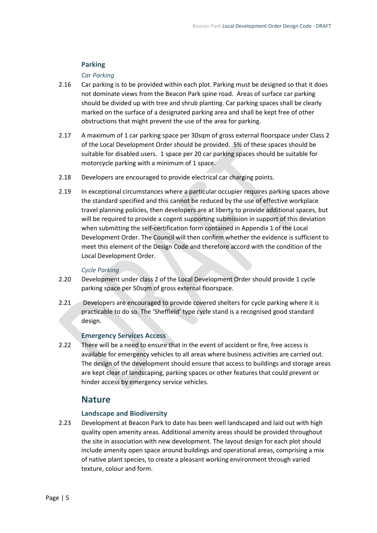#### **Parking**

#### *Car Parking*

- <span id="page-6-0"></span>2.16 Car parking is to be provided within each plot. Parking must be designed so that it does not dominate views from the Beacon Park spine road. Areas of surface car parking should be divided up with tree and shrub planting. Car parking spaces shall be clearly marked on the surface of a designated parking area and shall be kept free of other obstructions that might prevent the use of the area for parking.
- 2.17 A maximum of 1 car parking space per 30sqm of gross external floorspace under Class 2 of the Local Development Order should be provided. 5% of these spaces should be suitable for disabled users. 1 space per 20 car parking spaces should be suitable for motorcycle parking with a minimum of 1 space.
- 2.18 Developers are encouraged to provide electrical car charging points.
- 2.19 In exceptional circumstances where a particular occupier requires parking spaces above the standard specified and this cannot be reduced by the use of effective workplace travel planning policies, then developers are at liberty to provide additional spaces, but will be required to provide a cogent supporting submission in support of this deviation when submitting the self-certification form contained in Appendix 1 of the Local Development Order. The Council will then confirm whether the evidence is sufficient to meet this element of the Design Code and therefore accord with the condition of the Local Development Order.

#### *Cycle Parking*

- 2.20 Development under class 2 of the Local Development Order should provide 1 cycle parking space per 50sqm of gross external floorspace.
- 2.21 Developers are encouraged to provide covered shelters for cycle parking where it is practicable to do so. The 'Sheffield' type cycle stand is a recognised good standard design.

#### **Emergency Services Access**

<span id="page-6-1"></span>2.22 There will be a need to ensure that in the event of accident or fire, free access is available for emergency vehicles to all areas where business activities are carried out. The design of the development should ensure that access to buildings and storage areas are kept clear of landscaping, parking spaces or other features that could prevent or hinder access by emergency service vehicles.

## **Nature**

#### **Landscape and Biodiversity**

<span id="page-6-3"></span><span id="page-6-2"></span>2.23 Development at Beacon Park to date has been well landscaped and laid out with high quality open amenity areas. Additional amenity areas should be provided throughout the site in association with new development. The layout design for each plot should include amenity open space around buildings and operational areas, comprising a mix of native plant species, to create a pleasant working environment through varied texture, colour and form.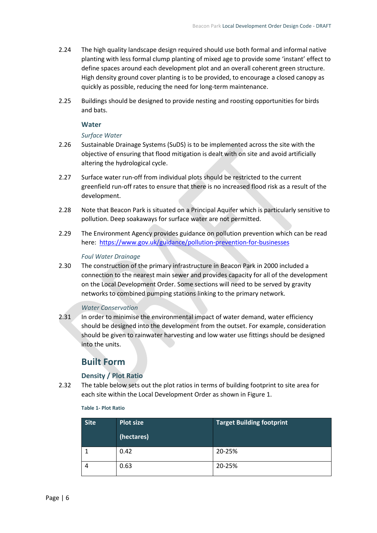- 2.24 The high quality landscape design required should use both formal and informal native planting with less formal clump planting of mixed age to provide some 'instant' effect to define spaces around each development plot and an overall coherent green structure. High density ground cover planting is to be provided, to encourage a closed canopy as quickly as possible, reducing the need for long-term maintenance.
- 2.25 Buildings should be designed to provide nesting and roosting opportunities for birds and bats.

#### **Water**

#### *Surface Water*

- <span id="page-7-0"></span>2.26 Sustainable Drainage Systems (SuDS) is to be implemented across the site with the objective of ensuring that flood mitigation is dealt with on site and avoid artificially altering the hydrological cycle.
- 2.27 Surface water run-off from individual plots should be restricted to the current greenfield run-off rates to ensure that there is no increased flood risk as a result of the development.
- 2.28 Note that Beacon Park is situated on a Principal Aquifer which is particularly sensitive to pollution. Deep soakaways for surface water are not permitted.
- 2.29 The Environment Agency provides guidance on pollution prevention which can be read here: <https://www.gov.uk/guidance/pollution-prevention-for-businesses>

#### *Foul Water Drainage*

2.30 The construction of the primary infrastructure in Beacon Park in 2000 included a connection to the nearest main sewer and provides capacity for all of the development on the Local Development Order. Some sections will need to be served by gravity networks to combined pumping stations linking to the primary network.

#### *Water Conservation*

2.31 In order to minimise the environmental impact of water demand, water efficiency should be designed into the development from the outset. For example, consideration should be given to rainwater harvesting and low water use fittings should be designed into the units.

## **Built Form**

#### **Density / Plot Ratio**

<span id="page-7-2"></span><span id="page-7-1"></span>2.32 The table below sets out the plot ratios in terms of building footprint to site area for each site within the Local Development Order as shown in Figure 1.

#### **Table 1- Plot Ratio**

| <b>Site</b> | <b>Plot size</b> | <b>Target Building footprint</b> |
|-------------|------------------|----------------------------------|
|             | (hectares)       |                                  |
|             | 0.42             | 20-25%                           |
|             | 0.63             | 20-25%                           |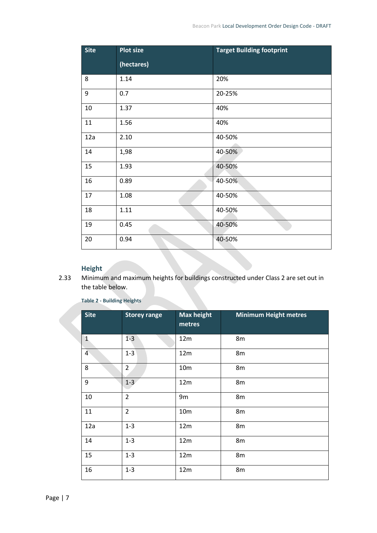| <b>Site</b> | <b>Plot size</b> | <b>Target Building footprint</b> |
|-------------|------------------|----------------------------------|
|             | (hectares)       |                                  |
| 8           | 1.14             | 20%                              |
| 9           | 0.7              | 20-25%                           |
| $10\,$      | 1.37             | 40%                              |
| 11          | 1.56             | 40%                              |
| 12a         | 2.10             | 40-50%                           |
| 14          | 1,98             | 40-50%                           |
| 15          | 1.93             | 40-50%                           |
| 16          | 0.89             | 40-50%                           |
| 17          | 1.08             | 40-50%                           |
| 18          | 1.11             | 40-50%                           |
| 19          | 0.45             | 40-50%                           |
| 20          | 0.94             | 40-50%                           |

### **Height**

<span id="page-8-0"></span>2.33 Minimum and maximum heights for buildings constructed under Class 2 are set out in the table below.

| <b>Site</b>    | <b>Storey range</b> | <b>Max height</b><br>metres | <b>Minimum Height metres</b> |
|----------------|---------------------|-----------------------------|------------------------------|
| $\mathbf{1}$   | $1 - 3$             | 12m                         | 8m                           |
| $\overline{4}$ | $1 - 3$             | 12m                         | 8m                           |
| 8              | $\overline{2}$      | 10 <sub>m</sub>             | 8m                           |
| 9              | $1-3$               | 12m                         | 8m                           |
| 10             | $\overline{2}$      | 9m                          | 8m                           |
| 11             | $\overline{2}$      | 10 <sub>m</sub>             | 8m                           |
| 12a            | $1 - 3$             | 12m                         | 8m                           |
| 14             | $1 - 3$             | 12m                         | 8m                           |
| 15             | $1 - 3$             | 12m                         | 8m                           |
| 16             | $1 - 3$             | 12m                         | 8m                           |

**Table 2 - Building Heights**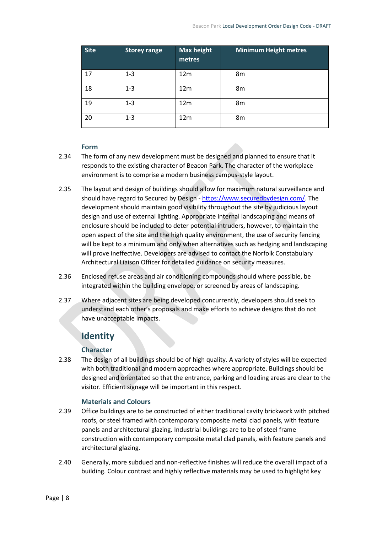| <b>Site</b> | <b>Storey range</b> | <b>Max height</b><br>metres | Minimum Height metres |
|-------------|---------------------|-----------------------------|-----------------------|
| 17          | $1 - 3$             | 12 <sub>m</sub>             | 8m                    |
| 18          | $1 - 3$             | 12 <sub>m</sub>             | 8m                    |
| 19          | $1 - 3$             | 12m                         | 8m                    |
| 20          | $1 - 3$             | 12 <sub>m</sub>             | 8m                    |

#### **Form**

- <span id="page-9-0"></span>2.34 The form of any new development must be designed and planned to ensure that it responds to the existing character of Beacon Park. The character of the workplace environment is to comprise a modern business campus-style layout.
- 2.35 The layout and design of buildings should allow for maximum natural surveillance and should have regard to Secured by Design - [https://www.securedbydesign.com/.](https://www.securedbydesign.com/) The development should maintain good visibility throughout the site by judicious layout design and use of external lighting. Appropriate internal landscaping and means of enclosure should be included to deter potential intruders, however, to maintain the open aspect of the site and the high quality environment, the use of security fencing will be kept to a minimum and only when alternatives such as hedging and landscaping will prove ineffective. Developers are advised to contact the Norfolk Constabulary Architectural Liaison Officer for detailed guidance on security measures.
- 2.36 Enclosed refuse areas and air conditioning compounds should where possible, be integrated within the building envelope, or screened by areas of landscaping.
- 2.37 Where adjacent sites are being developed concurrently, developers should seek to understand each other's proposals and make efforts to achieve designs that do not have unacceptable impacts.

## **Identity**

#### **Character**

<span id="page-9-2"></span><span id="page-9-1"></span>2.38 The design of all buildings should be of high quality. A variety of styles will be expected with both traditional and modern approaches where appropriate. Buildings should be designed and orientated so that the entrance, parking and loading areas are clear to the visitor. Efficient signage will be important in this respect.

#### **Materials and Colours**

- <span id="page-9-3"></span>2.39 Office buildings are to be constructed of either traditional cavity brickwork with pitched roofs, or steel framed with contemporary composite metal clad panels, with feature panels and architectural glazing. Industrial buildings are to be of steel frame construction with contemporary composite metal clad panels, with feature panels and architectural glazing.
- 2.40 Generally, more subdued and non-reflective finishes will reduce the overall impact of a building. Colour contrast and highly reflective materials may be used to highlight key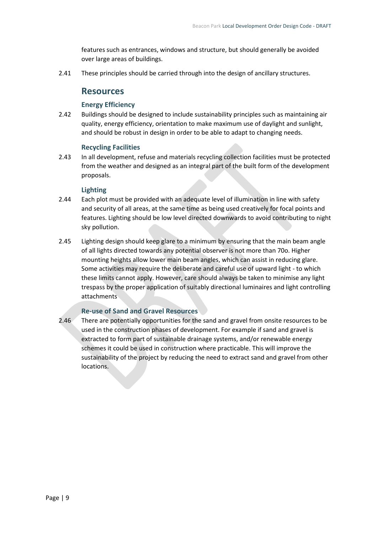features such as entrances, windows and structure, but should generally be avoided over large areas of buildings.

<span id="page-10-0"></span>2.41 These principles should be carried through into the design of ancillary structures.

### **Resources**

#### **Energy Efficiency**

<span id="page-10-1"></span>2.42 Buildings should be designed to include sustainability principles such as maintaining air quality, energy efficiency, orientation to make maximum use of daylight and sunlight, and should be robust in design in order to be able to adapt to changing needs.

#### **Recycling Facilities**

<span id="page-10-2"></span>2.43 In all development, refuse and materials recycling collection facilities must be protected from the weather and designed as an integral part of the built form of the development proposals.

#### **Lighting**

- <span id="page-10-3"></span>2.44 Each plot must be provided with an adequate level of illumination in line with safety and security of all areas, at the same time as being used creatively for focal points and features. Lighting should be low level directed downwards to avoid contributing to night sky pollution.
- 2.45 Lighting design should keep glare to a minimum by ensuring that the main beam angle of all lights directed towards any potential observer is not more than 70o. Higher mounting heights allow lower main beam angles, which can assist in reducing glare. Some activities may require the deliberate and careful use of upward light - to which these limits cannot apply. However, care should always be taken to minimise any light trespass by the proper application of suitably directional luminaires and light controlling attachments

#### **Re-use of Sand and Gravel Resources**

<span id="page-10-4"></span>2.46 There are potentially opportunities for the sand and gravel from onsite resources to be used in the construction phases of development. For example if sand and gravel is extracted to form part of sustainable drainage systems, and/or renewable energy schemes it could be used in construction where practicable. This will improve the sustainability of the project by reducing the need to extract sand and gravel from other locations.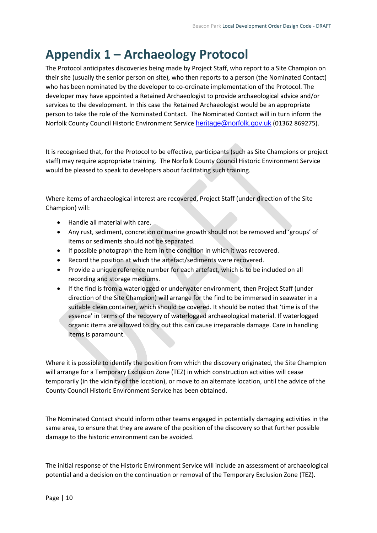## <span id="page-11-0"></span>**Appendix 1 – Archaeology Protocol**

The Protocol anticipates discoveries being made by Project Staff, who report to a Site Champion on their site (usually the senior person on site), who then reports to a person (the Nominated Contact) who has been nominated by the developer to co-ordinate implementation of the Protocol. The developer may have appointed a Retained Archaeologist to provide archaeological advice and/or services to the development. In this case the Retained Archaeologist would be an appropriate person to take the role of the Nominated Contact. The Nominated Contact will in turn inform the Norfolk County Council Historic Environment Service [heritage@norfolk.gov.uk](mailto:heritage@norfolk.gov.uk) (01362 869275).

It is recognised that, for the Protocol to be effective, participants (such as Site Champions or project staff) may require appropriate training. The Norfolk County Council Historic Environment Service would be pleased to speak to developers about facilitating such training.

Where items of archaeological interest are recovered, Project Staff (under direction of the Site Champion) will:

- Handle all material with care.
- Any rust, sediment, concretion or marine growth should not be removed and 'groups' of items or sediments should not be separated.
- If possible photograph the item in the condition in which it was recovered.
- Record the position at which the artefact/sediments were recovered.
- Provide a unique reference number for each artefact, which is to be included on all recording and storage mediums.
- If the find is from a waterlogged or underwater environment, then Project Staff (under direction of the Site Champion) will arrange for the find to be immersed in seawater in a suitable clean container, which should be covered. It should be noted that 'time is of the essence' in terms of the recovery of waterlogged archaeological material. If waterlogged organic items are allowed to dry out this can cause irreparable damage. Care in handling items is paramount.

Where it is possible to identify the position from which the discovery originated, the Site Champion will arrange for a Temporary Exclusion Zone (TEZ) in which construction activities will cease temporarily (in the vicinity of the location), or move to an alternate location, until the advice of the County Council Historic Environment Service has been obtained.

The Nominated Contact should inform other teams engaged in potentially damaging activities in the same area, to ensure that they are aware of the position of the discovery so that further possible damage to the historic environment can be avoided.

The initial response of the Historic Environment Service will include an assessment of archaeological potential and a decision on the continuation or removal of the Temporary Exclusion Zone (TEZ).